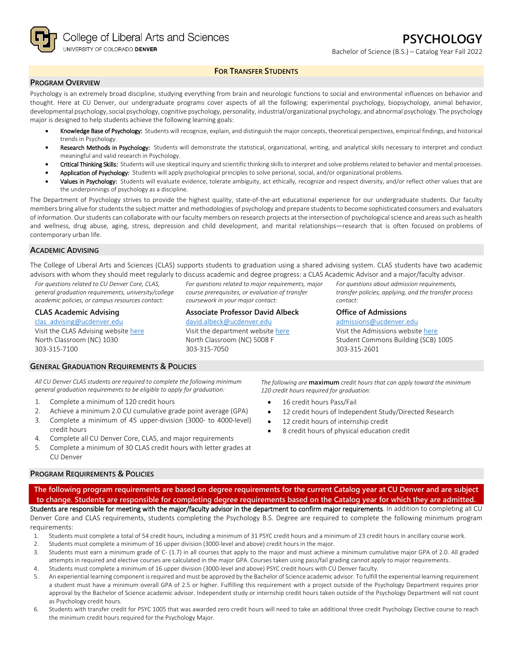College of Liberal Arts and Sciences UNIVERSITY OF COLORADO DENVER

# **FOR TRANSFER STUDENTS**

## **PROGRAM OVERVIEW**

Psychology is an extremely broad discipline, studying everything from brain and neurologic functions to social and environmental influences on behavior and thought. Here at CU Denver, our undergraduate programs cover aspects of all the following: experimental psychology, biopsychology, animal behavior, developmental psychology, social psychology, cognitive psychology, personality, industrial/organizational psychology, and abnormal psychology. The psychology major is designed to help students achieve the following learning goals:

- Knowledge Base of Psychology: Students will recognize, explain, and distinguish the major concepts, theoretical perspectives, empirical findings, and historical trends in Psychology.
- Research Methods in Psychology: Students will demonstrate the statistical, organizational, writing, and analytical skills necessary to interpret and conduct meaningful and valid research in Psychology.
- Critical Thinking Skills: Students will use skeptical inquiry and scientific thinking skills to interpret and solve problems related to behavior and mental processes.
- Application of Psychology: Students will apply psychological principles to solve personal, social, and/or organizational problems.
- Values in Psychology: Students will evaluate evidence, tolerate ambiguity, act ethically, recognize and respect diversity, and/or reflect other values that are the underpinnings of psychology as a discipline.

The Department of Psychology strives to provide the highest quality, state-of-the-art educational experience for our undergraduate students. Our faculty members bring alive for students the subject matter and methodologies of psychology and prepare students to become sophisticated consumers and evaluators of information. Our students can collaborate with our faculty members on research projects at the intersection of psychological science and areas such as health and wellness, drug abuse, aging, stress, depression and child development, and marital relationships—research that is often focused on problems of contemporary urban life.

### **ACADEMIC ADVISING**

The College of Liberal Arts and Sciences (CLAS) supports students to graduation using a shared advising system. CLAS students have two academic advisors with whom they should meet regularly to discuss academic and degree progress: a CLAS Academic Advisor and a major/faculty advisor.

*course prerequisites, or evaluation of transfer* 

**Associate Professor David Albeck** [david.albeck@ucdenver.edu](mailto:david.albeck@ucdenver.edu) Visit the department website [here](https://clas.ucdenver.edu/psychology/) North Classroom (NC) 5008 F

*coursework in your major contact:*

303-315-7050

*For questions related to CU Denver Core, CLAS, general graduation requirements, university/college academic policies, or campus resources contact:*

#### **CLAS Academic Advising**

[clas\\_advising@ucdenver.edu](mailto:clas_advising@ucdenver.edu) Visit the CLAS Advising websit[e here](https://clas.ucdenver.edu/advising/) North Classroom (NC) 1030 303-315-7100

### **GENERAL GRADUATION REQUIREMENTS & POLICIES**

*All CU Denver CLAS students are required to complete the following minimum general graduation requirements to be eligible to apply for graduation:*

- 1. Complete a minimum of 120 credit hours
- 2. Achieve a minimum 2.0 CU cumulative grade point average (GPA)
- 3. Complete a minimum of 45 upper-division (3000- to 4000-level) credit hours
- 4. Complete all CU Denver Core, CLAS, and major requirements
- 5. Complete a minimum of 30 CLAS credit hours with letter grades at CU Denver

*The following are* **maximum** *credit hours that can apply toward the minimum 120 credit hours required for graduation:* 16 credit hours Pass/Fail

12 credit hours of Independent Study/Directed Research

303-315-2601

- 12 credit hours of internship credit
- 8 credit hours of physical education credit

### **PROGRAM REQUIREMENTS & POLICIES**

**The following program requirements are based on degree requirements for the current Catalog year at CU Denver and are subject to change. Students are responsible for completing degree requirements based on the Catalog year for which they are admitted.** Students are responsible for meeting with the major/faculty advisor in the department to confirm major requirements. In addition to completing all CU Denver Core and CLAS requirements, students completing the Psychology B.S. Degree are required to complete the following minimum program

- requirements:
- 1. Students must complete a total of 54 credit hours, including a minimum of 31 PSYC credit hours and a minimum of 23 credit hours in ancillary course work.
- 2. Students must complete a minimum of 16 upper division (3000-level and above) credit hours in the major.
- 3. Students must earn a minimum grade of C- (1.7) in all courses that apply to the major and must achieve a minimum cumulative major GPA of 2.0. All graded attempts in required and elective courses are calculated in the major GPA. Courses taken using pass/fail grading cannot apply to major requirements.
- 4. Students must complete a minimum of 16 upper division (3000-level and above) PSYC credit hours with CU Denver faculty.
- 5. An experiential learning component is required and must be approved by the Bachelor of Science academic advisor. To fulfill the experiential learning requirement a student must have a minimum overall GPA of 2.5 or higher. Fulfilling this requirement with a project outside of the Psychology Department requires prior approval by the Bachelor of Science academic advisor. Independent study or internship credit hours taken outside of the Psychology Department will not count as Psychology credit hours.
- 6. Students with transfer credit for PSYC 1005 that was awarded zero credit hours will need to take an additional three credit Psychology Elective course to reach the minimum credit hours required for the Psychology Major.

#### *For questions related to major requirements, major For questions about admission requirements, transfer policies, applying, and the transfer process contact:*

**Office of Admissions** [admissions@ucdenver.edu](mailto:admissions@ucdenver.edu) Visit the Admissions website [here](http://www.ucdenver.edu/admissions/Pages/index.aspx)

Student Commons Building (SCB) 1005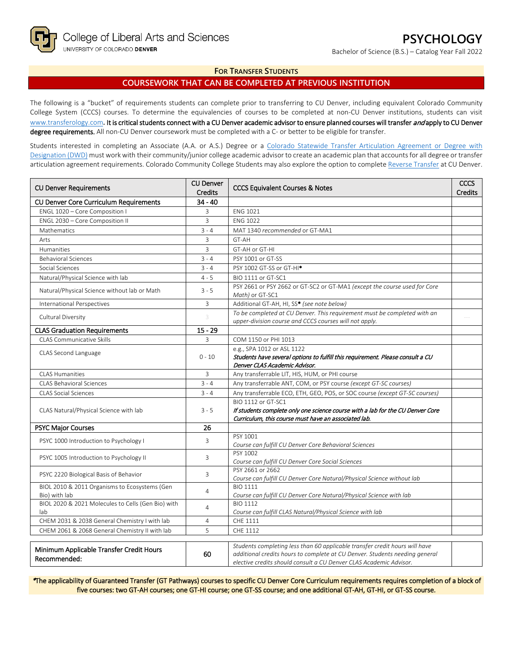Bachelor of Science (B.S.) – Catalog Year Fall 2022

# **FOR TRANSFER STUDENTS**

# **COURSEWORK THAT CAN BE COMPLETED AT PREVIOUS INSTITUTION**

The following is a "bucket" of requirements students can complete prior to transferring to CU Denver, including equivalent Colorado Community College System (CCCS) courses. To determine the equivalencies of courses to be completed at non-CU Denver institutions, students can visit [www.transferology.com](http://www.transferology.com/)**.** It is critical students connect with a CU Denver academic advisor to ensure planned courses will transfer and apply to CU Denver degree requirements. All non-CU Denver coursework must be completed with a C- or better to be eligible for transfer.

Students interested in completing an Associate (A.A. or A.S.) Degree or a [Colorado Statewide Transfer Articulation Agreement or Degree with](https://highered.colorado.gov/transfer-degrees)  [Designation \(DWD\)](https://highered.colorado.gov/transfer-degrees) must work with their community/junior college academic advisor to create an academic plan that accounts for all degree or transfer articulation agreement requirements. Colorado Community College Students may also explore the option to complet[e Reverse Transfer](https://highered.colorado.gov/students/attending-college/colorado-reverse-transfer) at CU Denver.

| <b>CU Denver Requirements</b>                      | <b>CU Denver</b><br><b>Credits</b> | <b>CCCS Equivalent Courses &amp; Notes</b>                                                                                                                 |  |
|----------------------------------------------------|------------------------------------|------------------------------------------------------------------------------------------------------------------------------------------------------------|--|
| CU Denver Core Curriculum Requirements             | $34 - 40$                          |                                                                                                                                                            |  |
| ENGL 1020 - Core Composition I                     | 3                                  | <b>ENG 1021</b>                                                                                                                                            |  |
| ENGL 2030 - Core Composition II                    | $\overline{3}$                     | <b>ENG 1022</b>                                                                                                                                            |  |
| Mathematics                                        | $3 - 4$                            | MAT 1340 recommended or GT-MA1                                                                                                                             |  |
| Arts                                               | 3                                  | GT-AH                                                                                                                                                      |  |
| Humanities                                         | 3                                  | GT-AH or GT-HI                                                                                                                                             |  |
| <b>Behavioral Sciences</b>                         | $3 - 4$                            | PSY 1001 or GT-SS                                                                                                                                          |  |
| Social Sciences                                    | $3 - 4$                            | PSY 1002 GT-SS or GT-HI <sup>*</sup>                                                                                                                       |  |
| Natural/Physical Science with lab                  | $4 - 5$                            | BIO 1111 or GT-SC1                                                                                                                                         |  |
| Natural/Physical Science without lab or Math       | $3 - 5$                            | PSY 2661 or PSY 2662 or GT-SC2 or GT-MA1 (except the course used for Core                                                                                  |  |
|                                                    | 3                                  | Math) or GT-SC1<br>Additional GT-AH, HI, SS* (see note below)                                                                                              |  |
| International Perspectives                         |                                    | To be completed at CU Denver. This requirement must be completed with an                                                                                   |  |
| Cultural Diversity                                 | 3                                  | upper-division course and CCCS courses will not apply.                                                                                                     |  |
| <b>CLAS Graduation Requirements</b>                | $15 - 29$                          |                                                                                                                                                            |  |
| <b>CLAS Communicative Skills</b>                   | 3                                  | COM 1150 or PHI 1013                                                                                                                                       |  |
|                                                    |                                    | e.g., SPA 1012 or ASL 1122                                                                                                                                 |  |
| CLAS Second Language                               | $0 - 10$                           | Students have several options to fulfill this requirement. Please consult a CU                                                                             |  |
|                                                    |                                    | Denver CLAS Academic Advisor.                                                                                                                              |  |
| <b>CLAS Humanities</b>                             | 3                                  | Any transferrable LIT, HIS, HUM, or PHI course                                                                                                             |  |
| <b>CLAS Behavioral Sciences</b>                    | $3 - 4$                            | Any transferrable ANT, COM, or PSY course (except GT-SC courses)                                                                                           |  |
| <b>CLAS Social Sciences</b>                        | $3 - 4$                            | Any transferrable ECO, ETH, GEO, POS, or SOC course (except GT-SC courses)                                                                                 |  |
|                                                    | $3 - 5$                            | BIO 1112 or GT-SC1                                                                                                                                         |  |
| CLAS Natural/Physical Science with lab             |                                    | If students complete only one science course with a lab for the CU Denver Core                                                                             |  |
|                                                    |                                    | Curriculum, this course must have an associated lab.                                                                                                       |  |
| <b>PSYC Major Courses</b>                          | 26                                 |                                                                                                                                                            |  |
| PSYC 1000 Introduction to Psychology I             | 3                                  | PSY 1001                                                                                                                                                   |  |
|                                                    |                                    | Course can fulfill CU Denver Core Behavioral Sciences                                                                                                      |  |
| PSYC 1005 Introduction to Psychology II            | 3                                  | PSY 1002                                                                                                                                                   |  |
|                                                    |                                    | Course can fulfill CU Denver Core Social Sciences<br>PSY 2661 or 2662                                                                                      |  |
| PSYC 2220 Biological Basis of Behavior             | 3                                  | Course can fulfill CU Denver Core Natural/Physical Science without lab                                                                                     |  |
| BIOL 2010 & 2011 Organisms to Ecosystems (Gen      |                                    | <b>BIO 1111</b>                                                                                                                                            |  |
| Bio) with lab                                      | 4                                  | Course can fulfill CU Denver Core Natural/Physical Science with lab                                                                                        |  |
| BIOL 2020 & 2021 Molecules to Cells (Gen Bio) with | 4                                  | <b>BIO 1112</b>                                                                                                                                            |  |
| lab                                                |                                    | Course can fulfill CLAS Natural/Physical Science with lab                                                                                                  |  |
| CHEM 2031 & 2038 General Chemistry I with lab      | 4                                  | CHE 1111                                                                                                                                                   |  |
| CHEM 2061 & 2068 General Chemistry II with lab     | 5                                  | CHE 1112                                                                                                                                                   |  |
|                                                    |                                    |                                                                                                                                                            |  |
| Minimum Applicable Transfer Credit Hours           | 60                                 | Students completing less than 60 applicable transfer credit hours will have<br>additional credits hours to complete at CU Denver. Students needing general |  |
| Recommended:                                       |                                    | elective credits should consult a CU Denver CLAS Academic Advisor.                                                                                         |  |

\*The applicability of Guaranteed Transfer (GT Pathways) courses to specific CU Denver Core Curriculum requirements requires completion of a block of five courses: two GT-AH courses; one GT-HI course; one GT-SS course; and one additional GT-AH, GT-HI, or GT-SS course.